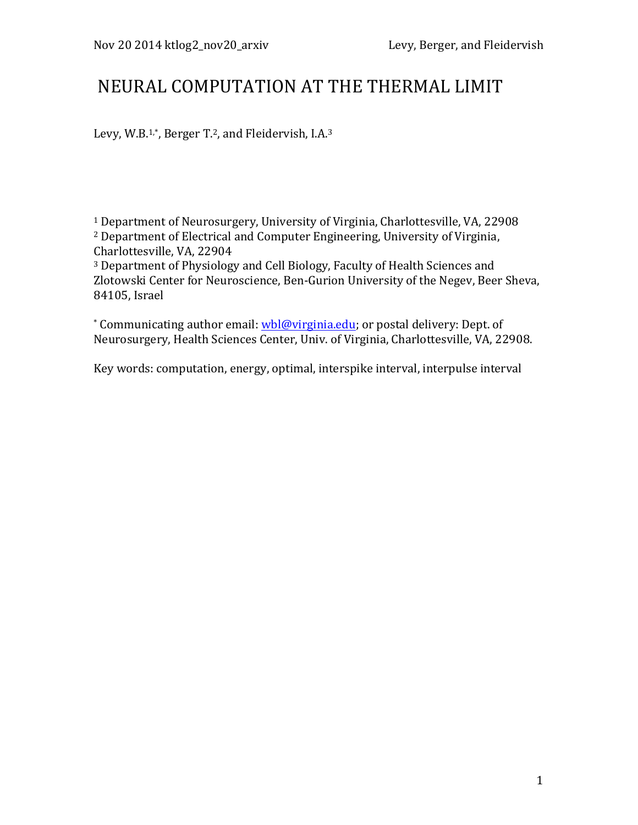# NEURAL COMPUTATION AT THE THERMAL LIMIT

Levy, W.B.<sup>1,\*</sup>, Berger T.<sup>2</sup>, and Fleidervish, I.A.<sup>3</sup>

<sup>1</sup> Department of Neurosurgery, University of Virginia, Charlottesville, VA, 22908  $2$  Department of Electrical and Computer Engineering, University of Virginia, Charlottesville, VA, 22904

<sup>3</sup> Department of Physiology and Cell Biology, Faculty of Health Sciences and Zlotowski Center for Neuroscience, Ben-Gurion University of the Negev, Beer Sheva, 84105, Israel

\* Communicating author email: wbl@virginia.edu; or postal delivery: Dept. of Neurosurgery, Health Sciences Center, Univ. of Virginia, Charlottesville, VA, 22908.

Key words: computation, energy, optimal, interspike interval, interpulse interval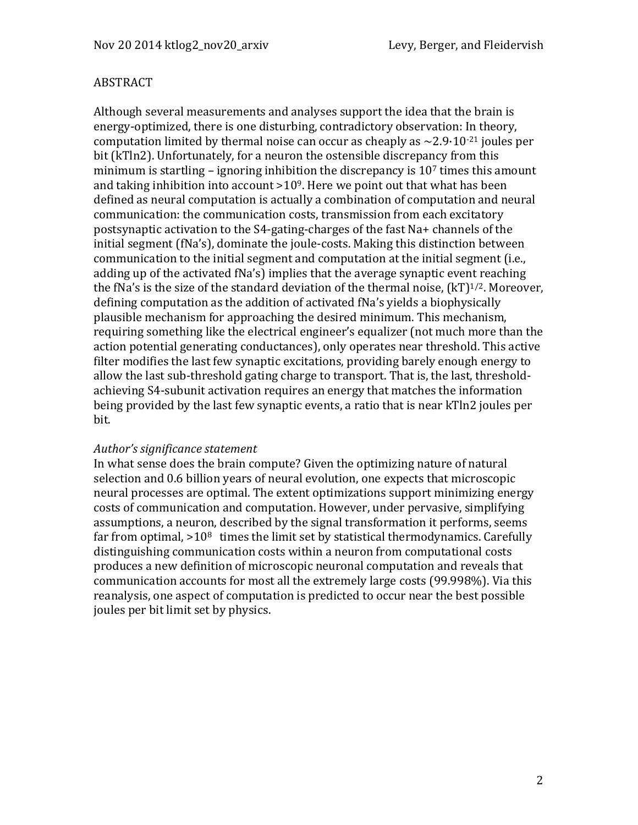#### ABSTRACT

Although several measurements and analyses support the idea that the brain is energy-optimized, there is one disturbing, contradictory observation: In theory, computation limited by thermal noise can occur as cheaply as  $\sim$  2.9·10<sup>-21</sup> joules per bit (kTln2). Unfortunately, for a neuron the ostensible discrepancy from this minimum is startling – ignoring inhibition the discrepancy is  $10<sup>7</sup>$  times this amount and taking inhibition into account  $>10^9$ . Here we point out that what has been defined as neural computation is actually a combination of computation and neural communication: the communication costs, transmission from each excitatory postsynaptic activation to the S4-gating-charges of the fast Na+ channels of the initial segment (fNa's), dominate the joule-costs. Making this distinction between communication to the initial segment and computation at the initial segment (i.e., adding up of the activated fNa's) implies that the average synaptic event reaching the fNa's is the size of the standard deviation of the thermal noise,  $(kT)^{1/2}$ . Moreover, defining computation as the addition of activated fNa's yields a biophysically plausible mechanism for approaching the desired minimum. This mechanism, requiring something like the electrical engineer's equalizer (not much more than the action potential generating conductances), only operates near threshold. This active filter modifies the last few synaptic excitations, providing barely enough energy to allow the last sub-threshold gating charge to transport. That is, the last, thresholdachieving S4-subunit activation requires an energy that matches the information being provided by the last few synaptic events, a ratio that is near kTln2 joules per bit.

#### *Author's significance statement*

In what sense does the brain compute? Given the optimizing nature of natural selection and 0.6 billion years of neural evolution, one expects that microscopic neural processes are optimal. The extent optimizations support minimizing energy costs of communication and computation. However, under pervasive, simplifying assumptions, a neuron, described by the signal transformation it performs, seems far from optimal,  $>10^8$  times the limit set by statistical thermodynamics. Carefully distinguishing communication costs within a neuron from computational costs produces a new definition of microscopic neuronal computation and reveals that communication accounts for most all the extremely large costs (99.998%). Via this reanalysis, one aspect of computation is predicted to occur near the best possible joules per bit limit set by physics.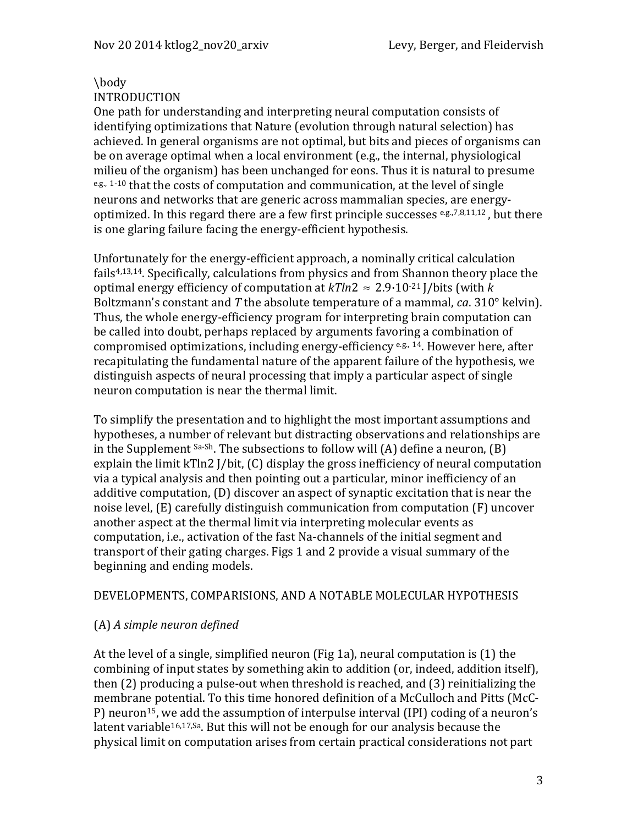## \body

#### INTRODUCTION

One path for understanding and interpreting neural computation consists of identifying optimizations that Nature (evolution through natural selection) has achieved. In general organisms are not optimal, but bits and pieces of organisms can be on average optimal when a local environment  $(e.g., the internal, physical$ milieu of the organism) has been unchanged for eons. Thus it is natural to presume  $e.g., 1-10$  that the costs of computation and communication, at the level of single neurons and networks that are generic across mammalian species, are energyoptimized. In this regard there are a few first principle successes  $e.g., 7,8,11,12$ , but there is one glaring failure facing the energy-efficient hypothesis.

Unfortunately for the energy-efficient approach, a nominally critical calculation fails $4,13,14$ . Specifically, calculations from physics and from Shannon theory place the optimal energy efficiency of computation at  $kTln2 \approx 2.9 \cdot 10^{-21}$  *I*/bits (with *k*) Boltzmann's constant and T the absolute temperature of a mammal,  $ca. 310^\circ$  kelvin). Thus, the whole energy-efficiency program for interpreting brain computation can be called into doubt, perhaps replaced by arguments favoring a combination of compromised optimizations, including energy-efficiency  $e.g., 14$ . However here, after recapitulating the fundamental nature of the apparent failure of the hypothesis, we distinguish aspects of neural processing that imply a particular aspect of single neuron computation is near the thermal limit.

To simplify the presentation and to highlight the most important assumptions and hypotheses, a number of relevant but distracting observations and relationships are in the Supplement  $s_a$ - $sh$ . The subsections to follow will  $(A)$  define a neuron,  $(B)$ explain the limit  $kTln2$  J/bit,  $(C)$  display the gross inefficiency of neural computation via a typical analysis and then pointing out a particular, minor inefficiency of an additive computation,  $(D)$  discover an aspect of synaptic excitation that is near the noise level, (E) carefully distinguish communication from computation (F) uncover another aspect at the thermal limit via interpreting molecular events as computation, i.e., activation of the fast Na-channels of the initial segment and transport of their gating charges. Figs 1 and 2 provide a visual summary of the beginning and ending models.

## DEVELOPMENTS, COMPARISIONS, AND A NOTABLE MOLECULAR HYPOTHESIS

## (A) *A simple neuron defined*

At the level of a single, simplified neuron (Fig 1a), neural computation is  $(1)$  the combining of input states by something akin to addition (or, indeed, addition itself), then  $(2)$  producing a pulse-out when threshold is reached, and  $(3)$  reinitializing the membrane potential. To this time honored definition of a McCulloch and Pitts (McC-P) neuron<sup>15</sup>, we add the assumption of interpulse interval (IPI) coding of a neuron's latent variable<sup>16,17, Sa</sup>. But this will not be enough for our analysis because the physical limit on computation arises from certain practical considerations not part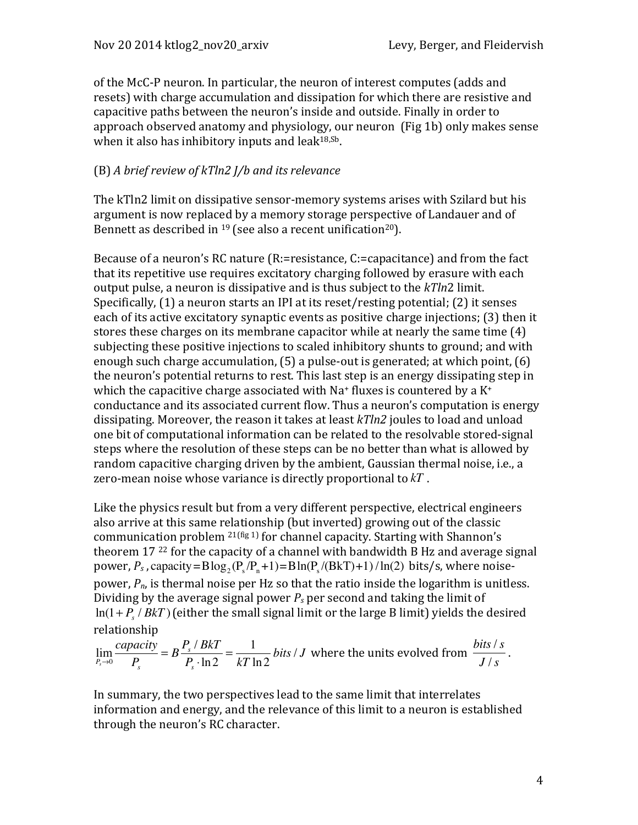of the McC-P neuron. In particular, the neuron of interest computes (adds and resets) with charge accumulation and dissipation for which there are resistive and capacitive paths between the neuron's inside and outside. Finally in order to approach observed anatomy and physiology, our neuron (Fig 1b) only makes sense when it also has inhibitory inputs and leak $18,5b$ .

## (B) *A* brief review of kTln2 *J/b* and its relevance

The kTln2 limit on dissipative sensor-memory systems arises with Szilard but his argument is now replaced by a memory storage perspective of Landauer and of Bennett as described in  $19$  (see also a recent unification<sup>20</sup>).

Because of a neuron's RC nature  $(R:=resistance, C:=capacitance)$  and from the fact that its repetitive use requires excitatory charging followed by erasure with each output pulse, a neuron is dissipative and is thus subject to the *kTln2* limit. Specifically,  $(1)$  a neuron starts an IPI at its reset/resting potential;  $(2)$  it senses each of its active excitatory synaptic events as positive charge injections; (3) then it stores these charges on its membrane capacitor while at nearly the same time  $(4)$ subjecting these positive injections to scaled inhibitory shunts to ground; and with enough such charge accumulation,  $(5)$  a pulse-out is generated; at which point,  $(6)$ the neuron's potential returns to rest. This last step is an energy dissipating step in which the capacitive charge associated with Na<sup>+</sup> fluxes is countered by a  $K^+$ conductance and its associated current flow. Thus a neuron's computation is energy dissipating. Moreover, the reason it takes at least *kTln2* joules to load and unload one bit of computational information can be related to the resolvable stored-signal steps where the resolution of these steps can be no better than what is allowed by random capacitive charging driven by the ambient, Gaussian thermal noise, i.e., a zero-mean noise whose variance is directly proportional to  $kT$ .

Like the physics result but from a very different perspective, electrical engineers also arrive at this same relationship (but inverted) growing out of the classic communication problem  $^{21(fig 1)}$  for channel capacity. Starting with Shannon's theorem  $17^{22}$  for the capacity of a channel with bandwidth B Hz and average signal power,  $P_s$ , capacity=Blog<sub>2</sub> ( $P_s / P_n + 1$ )=Bln( $P_s / (BkT) + 1$ ) /ln(2) bits/s, where noisepower,  $P_n$ , is thermal noise per Hz so that the ratio inside the logarithm is unitless. Dividing by the average signal power  $P_s$  per second and taking the limit of  $ln(1+P_s/BkT)$  (either the small signal limit or the large B limit) yields the desired relationship

$$
\lim_{P_s \to 0} \frac{capacity}{P_s} = B \frac{P_s / BkT}{P_s \cdot \ln 2} = \frac{1}{kT \ln 2} bits / J \text{ where the units evolved from } \frac{bits / s}{J / s}.
$$

In summary, the two perspectives lead to the same limit that interrelates information and energy, and the relevance of this limit to a neuron is established through the neuron's RC character.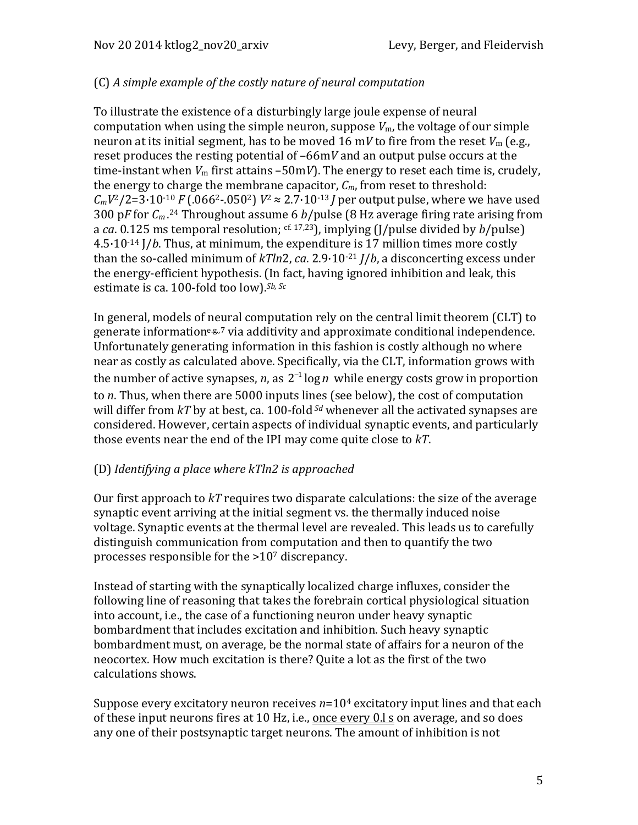# (C) *A simple example of the costly nature of neural computation*

To illustrate the existence of a disturbingly large joule expense of neural computation when using the simple neuron, suppose  $V_m$ , the voltage of our simple neuron at its initial segment, has to be moved 16 m*V* to fire from the reset  $V_m$  (e.g., reset produces the resting potential of  $-66$ m*V* and an output pulse occurs at the time-instant when  $V_m$  first attains  $-50$ m*V*). The energy to reset each time is, crudely, the energy to charge the membrane capacitor,  $C_m$ , from reset to threshold:  $C_mV^2/2=3.10^{-10} F(.066^{2}-.050^{2}) V^2 \approx 2.7.10^{-13} J$  per output pulse, where we have used 300 pF for  $C_m$ .<sup>24</sup> Throughout assume 6 *b*/pulse (8 Hz average firing rate arising from a *ca*. 0.125 ms temporal resolution;  $c$ <sup>f. 17,23</sup>), implying (J/pulse divided by  $b$ /pulse)  $4.5·10<sup>-14</sup>$  J/*b*. Thus, at minimum, the expenditure is 17 million times more costly than the so-called minimum of  $kTln2$ , *ca.* 2.9·10<sup>-21</sup> *J*/*b*, a disconcerting excess under the energy-efficient hypothesis. (In fact, having ignored inhibition and leak, this estimate is ca. 100-fold too low).<sup>Sb, Sc</sup>

In general, models of neural computation rely on the central limit theorem  $CLT$  to generate informatione.g.,7 via additivity and approximate conditional independence. Unfortunately generating information in this fashion is costly although no where near as costly as calculated above. Specifically, via the CLT, information grows with the number of active synapses, *n*, as  $2^{-1} \log n$  while energy costs grow in proportion to *n*. Thus, when there are 5000 inputs lines (see below), the cost of computation will differ from  $kT$  by at best, ca. 100-fold  $S_d$  whenever all the activated synapses are considered. However, certain aspects of individual synaptic events, and particularly those events near the end of the IPI may come quite close to  $kT$ .

## (D) *Identifying a place where kTln2 is approached*

Our first approach to *kT* requires two disparate calculations: the size of the average synaptic event arriving at the initial segment vs. the thermally induced noise voltage. Synaptic events at the thermal level are revealed. This leads us to carefully distinguish communication from computation and then to quantify the two processes responsible for the  $>10<sup>7</sup>$  discrepancy.

Instead of starting with the synaptically localized charge influxes, consider the following line of reasoning that takes the forebrain cortical physiological situation into account, i.e., the case of a functioning neuron under heavy synaptic bombardment that includes excitation and inhibition. Such heavy synaptic bombardment must, on average, be the normal state of affairs for a neuron of the neocortex. How much excitation is there? Ouite a lot as the first of the two calculations shows.

Suppose every excitatory neuron receives  $n=10<sup>4</sup>$  excitatory input lines and that each of these input neurons fires at 10 Hz, i.e., once every  $0.1$  s on average, and so does any one of their postsynaptic target neurons. The amount of inhibition is not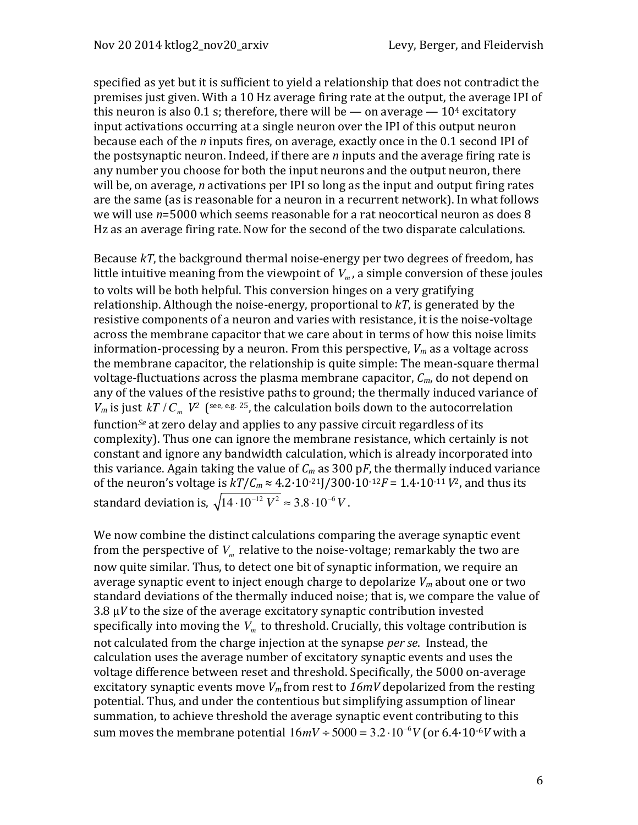specified as yet but it is sufficient to yield a relationship that does not contradict the premises just given. With a 10 Hz average firing rate at the output, the average IPI of this neuron is also 0.1 s; therefore, there will be — on average —  $10<sup>4</sup>$  excitatory input activations occurring at a single neuron over the IPI of this output neuron because each of the *n* inputs fires, on average, exactly once in the 0.1 second IPI of the postsynaptic neuron. Indeed, if there are  $n$  inputs and the average firing rate is any number you choose for both the input neurons and the output neuron, there will be, on average, *n* activations per IPI so long as the input and output firing rates are the same (as is reasonable for a neuron in a recurrent network). In what follows we will use  $n=5000$  which seems reasonable for a rat neocortical neuron as does 8 Hz as an average firing rate. Now for the second of the two disparate calculations.

Because  $kT$ , the background thermal noise-energy per two degrees of freedom, has little intuitive meaning from the viewpoint of  $V_m$ , a simple conversion of these joules to volts will be both helpful. This conversion hinges on a very gratifying relationship. Although the noise-energy, proportional to  $kT$ , is generated by the resistive components of a neuron and varies with resistance, it is the noise-voltage across the membrane capacitor that we care about in terms of how this noise limits information-processing by a neuron. From this perspective,  $V_m$  as a voltage across the membrane capacitor, the relationship is quite simple: The mean-square thermal voltage-fluctuations across the plasma membrane capacitor,  $C_m$ , do not depend on any of the values of the resistive paths to ground; the thermally induced variance of *V<sub>m</sub>* is just *kT* /*C<sub>m</sub> V*<sup>2</sup> (see, e.g. 25, the calculation boils down to the autocorrelation function<sup>Se</sup> at zero delay and applies to any passive circuit regardless of its complexity). Thus one can ignore the membrane resistance, which certainly is not constant and ignore any bandwidth calculation, which is already incorporated into this variance. Again taking the value of  $C_m$  as 300 pF, the thermally induced variance of the neuron's voltage is  $kT/C_m \approx 4.2 \cdot 10^{-21} J/300 \cdot 10^{-12} F = 1.4 \cdot 10^{-11} V^2$ , and thus its standard deviation is,  $\sqrt{14\cdot 10^{-12}}\;V^2\approx 3.8\cdot 10^{-6}\,V$  .

We now combine the distinct calculations comparing the average synaptic event from the perspective of  $V_m$  relative to the noise-voltage; remarkably the two are now quite similar. Thus, to detect one bit of synaptic information, we require an average synaptic event to inject enough charge to depolarize  $V_m$  about one or two standard deviations of the thermally induced noise; that is, we compare the value of  $3.8\,\mu$ *V* to the size of the average excitatory synaptic contribution invested specifically into moving the  $V<sub>m</sub>$  to threshold. Crucially, this voltage contribution is not calculated from the charge injection at the synapse *per se*. Instead, the calculation uses the average number of excitatory synaptic events and uses the voltage difference between reset and threshold. Specifically, the 5000 on-average excitatory synaptic events move  $V_m$  from rest to  $16mV$  depolarized from the resting potential. Thus, and under the contentious but simplifying assumption of linear summation, to achieve threshold the average synaptic event contributing to this sum moves the membrane potential  $16mV \div 5000 = 3.2 \cdot 10^{-6} V$  (or  $6.4 \cdot 10^{-6} V$  with a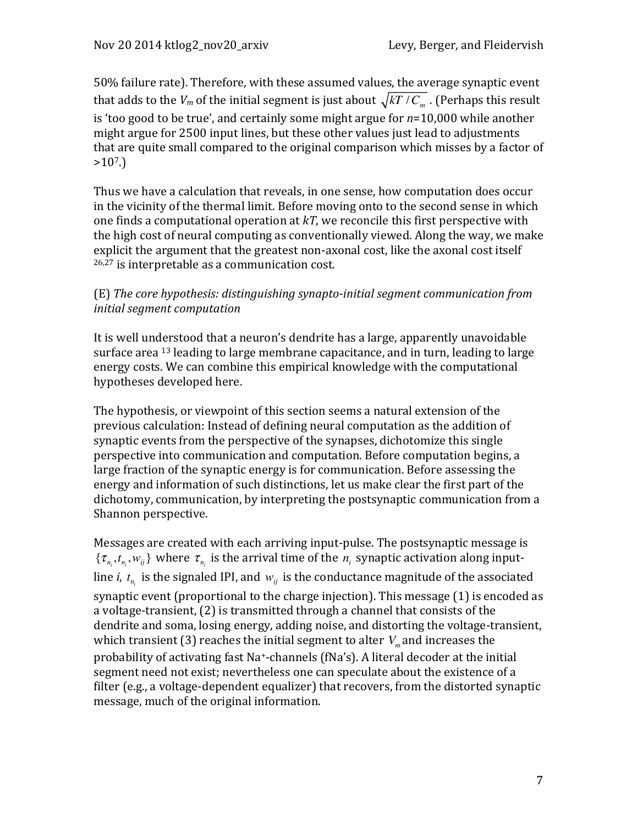50% failure rate). Therefore, with these assumed values, the average synaptic event that adds to the  $V_m$  of the initial segment is just about  $\sqrt{kT/C_m}$  . (Perhaps this result is 'too good to be true', and certainly some might argue for  $n=10,000$  while another might argue for 2500 input lines, but these other values just lead to adjustments that are quite small compared to the original comparison which misses by a factor of  $>10^7$ .)

Thus we have a calculation that reveals, in one sense, how computation does occur in the vicinity of the thermal limit. Before moving onto to the second sense in which one finds a computational operation at  $kT$ , we reconcile this first perspective with the high cost of neural computing as conventionally viewed. Along the way, we make explicit the argument that the greatest non-axonal cost, like the axonal cost itself  $26,27$  is interpretable as a communication cost.

## (E) *The core hypothesis: distinguishing synapto-initial segment communication from initial segment computation*

It is well understood that a neuron's dendrite has a large, apparently unavoidable surface area  $^{13}$  leading to large membrane capacitance, and in turn, leading to large energy costs. We can combine this empirical knowledge with the computational hypotheses developed here.

The hypothesis, or viewpoint of this section seems a natural extension of the previous calculation: Instead of defining neural computation as the addition of synaptic events from the perspective of the synapses, dichotomize this single perspective into communication and computation. Before computation begins, a large fraction of the synaptic energy is for communication. Before assessing the energy and information of such distinctions, let us make clear the first part of the dichotomy, communication, by interpreting the postsynaptic communication from a Shannon perspective.

Messages are created with each arriving input-pulse. The postsynaptic message is  $\{\tau_{n_i}, t_{n_i}, w_{ij}\}\$  where  $\tau_{n_i}$  is the arrival time of the  $n_i$  synaptic activation along inputline *i*,  $t_{n_i}$  is the signaled IPI, and  $w_{ij}$  is the conductance magnitude of the associated synaptic event (proportional to the charge injection). This message  $(1)$  is encoded as a voltage-transient, (2) is transmitted through a channel that consists of the dendrite and soma, losing energy, adding noise, and distorting the voltage-transient, which transient (3) reaches the initial segment to alter  $V_m$  and increases the probability of activating fast Na<sup>+</sup>-channels (fNa's). A literal decoder at the initial segment need not exist; nevertheless one can speculate about the existence of a filter (e.g., a voltage-dependent equalizer) that recovers, from the distorted synaptic message, much of the original information.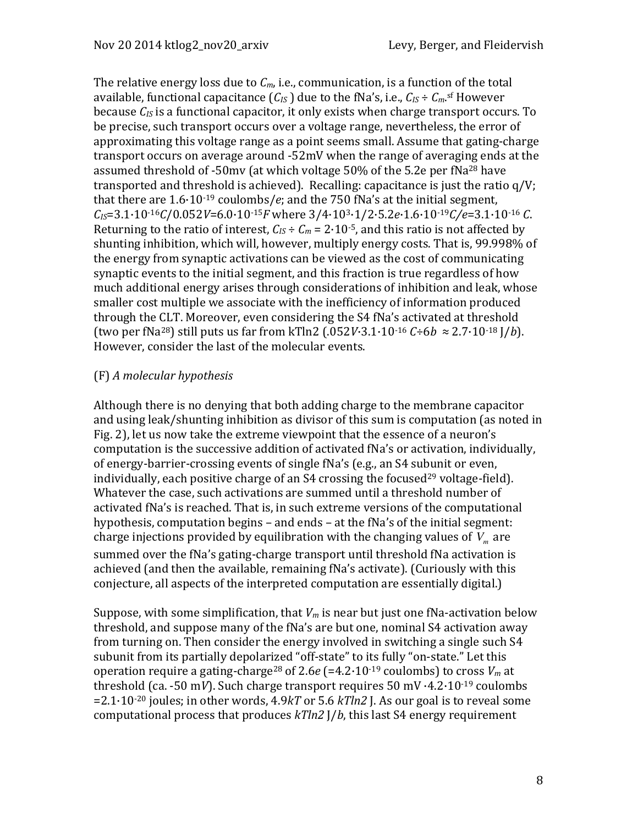The relative energy loss due to  $C_m$ , i.e., communication, is a function of the total available, functional capacitance  $(C_{IS})$  due to the fNa's, i.e.,  $C_{IS} \div C_{m}$ .sf However because  $C_{IS}$  is a functional capacitor, it only exists when charge transport occurs. To be precise, such transport occurs over a voltage range, nevertheless, the error of approximating this voltage range as a point seems small. Assume that gating-charge transport occurs on average around  $-52mV$  when the range of averaging ends at the assumed threshold of -50mv (at which voltage 50% of the 5.2e per fNa<sup>28</sup> have transported and threshold is achieved). Recalling: capacitance is just the ratio  $q/V$ ; that there are  $1.6 \cdot 10^{-19}$  coulombs/*e*; and the 750 fNa's at the initial segment, *CIS*=3.1·10-16*C*/0.052*V*=6.0·10-15*F* where 3/4·103·1/2·5.2*e*·1.6·10-19*C/e*=3.1·10-16 *C*. Returning to the ratio of interest,  $C_{IS} \div C_m = 2.10^{-5}$ , and this ratio is not affected by shunting inhibition, which will, however, multiply energy costs. That is, 99.998% of the energy from synaptic activations can be viewed as the cost of communicating synaptic events to the initial segment, and this fraction is true regardless of how much additional energy arises through considerations of inhibition and leak, whose smaller cost multiple we associate with the inefficiency of information produced through the CLT. Moreover, even considering the S4 fNa's activated at threshold (two per fNa<sup>28</sup>) still puts us far from kTln2  $(.052V·3.1·10<sup>-16</sup> C÷6b \approx 2.7·10<sup>-18</sup> J/b$ ). However, consider the last of the molecular events.

#### (F) *A molecular hypothesis*

Although there is no denying that both adding charge to the membrane capacitor and using leak/shunting inhibition as divisor of this sum is computation (as noted in Fig. 2), let us now take the extreme viewpoint that the essence of a neuron's computation is the successive addition of activated fNa's or activation, individually, of energy-barrier-crossing events of single fNa's (e.g., an S4 subunit or even, individually, each positive charge of an  $S4$  crossing the focused<sup>29</sup> voltage-field). Whatever the case, such activations are summed until a threshold number of activated fNa's is reached. That is, in such extreme versions of the computational hypothesis, computation begins - and ends - at the fNa's of the initial segment: charge injections provided by equilibration with the changing values of  $\dot{V}_m$  are summed over the fNa's gating-charge transport until threshold fNa activation is achieved (and then the available, remaining fNa's activate). (Curiously with this conjecture, all aspects of the interpreted computation are essentially digital.)

Suppose, with some simplification, that  $V_m$  is near but just one fNa-activation below threshold, and suppose many of the fNa's are but one, nominal S4 activation away from turning on. Then consider the energy involved in switching a single such S4 subunit from its partially depolarized "off-state" to its fully "on-state." Let this operation require a gating-charge<sup>28</sup> of 2.6*e* (=4.2·10<sup>-19</sup> coulombs) to cross  $V_m$  at threshold (ca.  $-50$  m*V*). Such charge transport requires  $50$  mV $\cdot$ 4.2 $\cdot$ 10<sup>-19</sup> coulombs  $=2.1\cdot10^{-20}$  joules; in other words,  $4.9kT$  or  $5.6$   $kTln2$  J. As our goal is to reveal some computational process that produces  $kTln2$  J/*b*, this last S4 energy requirement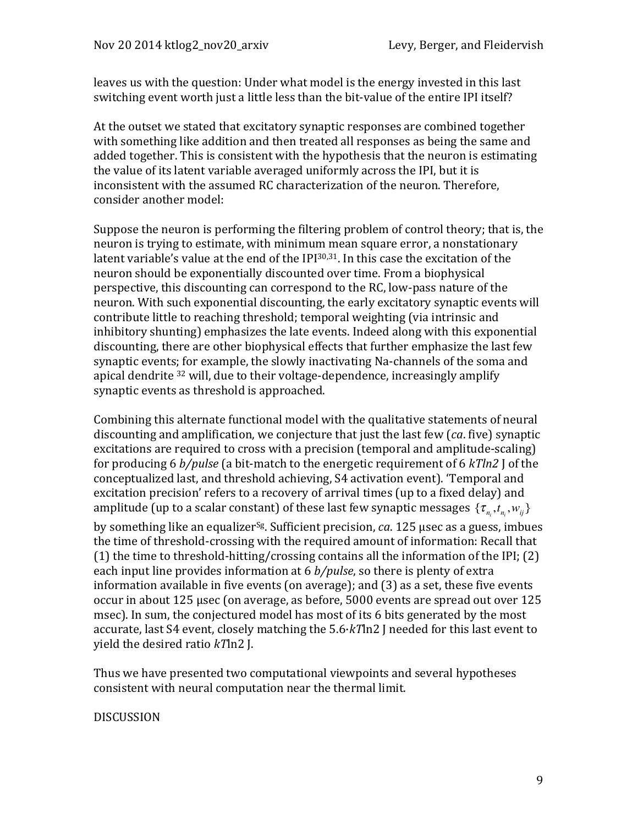leaves us with the question: Under what model is the energy invested in this last switching event worth just a little less than the bit-value of the entire IPI itself?

At the outset we stated that excitatory synaptic responses are combined together with something like addition and then treated all responses as being the same and added together. This is consistent with the hypothesis that the neuron is estimating the value of its latent variable averaged uniformly across the IPI, but it is inconsistent with the assumed RC characterization of the neuron. Therefore, consider another model:

Suppose the neuron is performing the filtering problem of control theory; that is, the neuron is trying to estimate, with minimum mean square error, a nonstationary latent variable's value at the end of the IPI $30,31$ . In this case the excitation of the neuron should be exponentially discounted over time. From a biophysical perspective, this discounting can correspond to the RC, low-pass nature of the neuron. With such exponential discounting, the early excitatory synaptic events will contribute little to reaching threshold; temporal weighting (via intrinsic and inhibitory shunting) emphasizes the late events. Indeed along with this exponential discounting, there are other biophysical effects that further emphasize the last few synaptic events; for example, the slowly inactivating Na-channels of the soma and apical dendrite <sup>32</sup> will, due to their voltage-dependence, increasingly amplify synaptic events as threshold is approached.

Combining this alternate functional model with the qualitative statements of neural discounting and amplification, we conjecture that just the last few (*ca*. five) synaptic excitations are required to cross with a precision (temporal and amplitude-scaling) for producing 6 *b/pulse* (a bit-match to the energetic requirement of 6 *kTln2* J of the conceptualized last, and threshold achieving, S4 activation event). 'Temporal and excitation precision' refers to a recovery of arrival times (up to a fixed delay) and amplitude (up to a scalar constant) of these last few synaptic messages  $\{\tau_{_{n_i}}, t_{_{n_i}}, w_{_{ij}}\}$ 

by something like an equalizer<sup>sg</sup>. Sufficient precision, *ca*. 125 usec as a guess, imbues the time of threshold-crossing with the required amount of information: Recall that (1) the time to threshold-hitting/crossing contains all the information of the IPI; (2) each input line provides information at 6 *b/pulse*, so there is plenty of extra information available in five events  $($ on average $)$ ; and  $(3)$  as a set, these five events occur in about  $125 \mu$ sec (on average, as before, 5000 events are spread out over  $125$ msec). In sum, the conjectured model has most of its 6 bits generated by the most accurate, last  $S4$  event, closely matching the  $5.6·kTln2$  I needed for this last event to yield the desired ratio *kT*ln2 J.

Thus we have presented two computational viewpoints and several hypotheses consistent with neural computation near the thermal limit.

#### DISCUSSION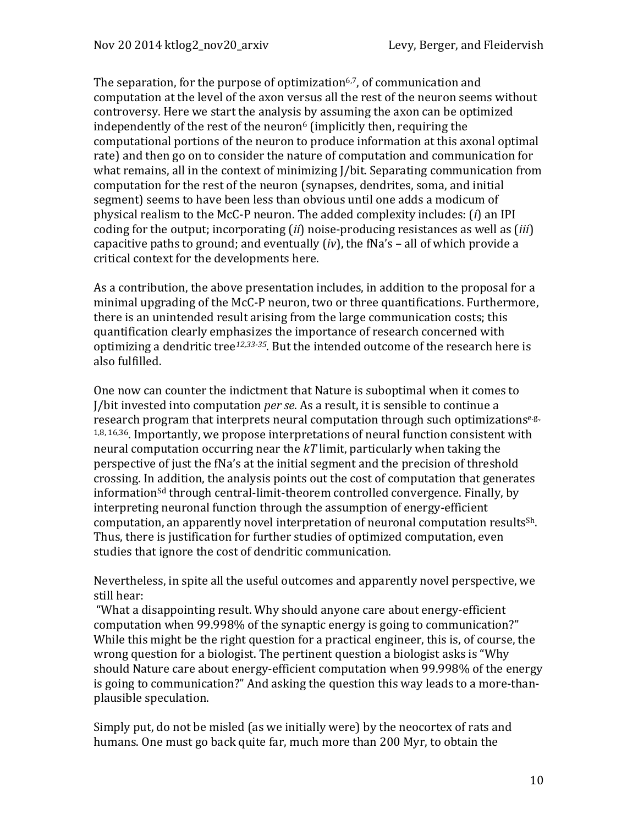The separation, for the purpose of optimization<sup>6,7</sup>, of communication and computation at the level of the axon versus all the rest of the neuron seems without controversy. Here we start the analysis by assuming the axon can be optimized independently of the rest of the neuron<sup>6</sup> (implicitly then, requiring the computational portions of the neuron to produce information at this axonal optimal rate) and then go on to consider the nature of computation and communication for what remains, all in the context of minimizing J/bit. Separating communication from computation for the rest of the neuron (synapses, dendrites, soma, and initial segment) seems to have been less than obvious until one adds a modicum of physical realism to the McC-P neuron. The added complexity includes: (*i*) an IPI coding for the output; incorporating (*ii*) noise-producing resistances as well as (*iii*) capacitive paths to ground; and eventually  $(iv)$ , the fNa's – all of which provide a critical context for the developments here.

As a contribution, the above presentation includes, in addition to the proposal for a minimal upgrading of the McC-P neuron, two or three quantifications. Furthermore, there is an unintended result arising from the large communication costs; this quantification clearly emphasizes the importance of research concerned with optimizing a dendritic tree<sup>12,33-35</sup>. But the intended outcome of the research here is also fulfilled.

One now can counter the indictment that Nature is suboptimal when it comes to J/bit invested into computation *per se*. As a result, it is sensible to continue a research program that interprets neural computation through such optimizationse.g.,  $1,8, 16,36$ . Importantly, we propose interpretations of neural function consistent with neural computation occurring near the  $kT$  limit, particularly when taking the perspective of just the fNa's at the initial segment and the precision of threshold crossing. In addition, the analysis points out the cost of computation that generates information<sup>sd</sup> through central-limit-theorem controlled convergence. Finally, by interpreting neuronal function through the assumption of energy-efficient computation, an apparently novel interpretation of neuronal computation results<sup>Sh</sup>. Thus, there is justification for further studies of optimized computation, even studies that ignore the cost of dendritic communication.

Nevertheless, in spite all the useful outcomes and apparently novel perspective, we still hear:

"What a disappointing result. Why should anyone care about energy-efficient computation when 99.998% of the synaptic energy is going to communication?" While this might be the right question for a practical engineer, this is, of course, the wrong question for a biologist. The pertinent question a biologist asks is "Why" should Nature care about energy-efficient computation when 99.998% of the energy is going to communication?" And asking the question this way leads to a more-thanplausible speculation.

Simply put, do not be misled (as we initially were) by the neocortex of rats and humans. One must go back quite far, much more than 200 Myr, to obtain the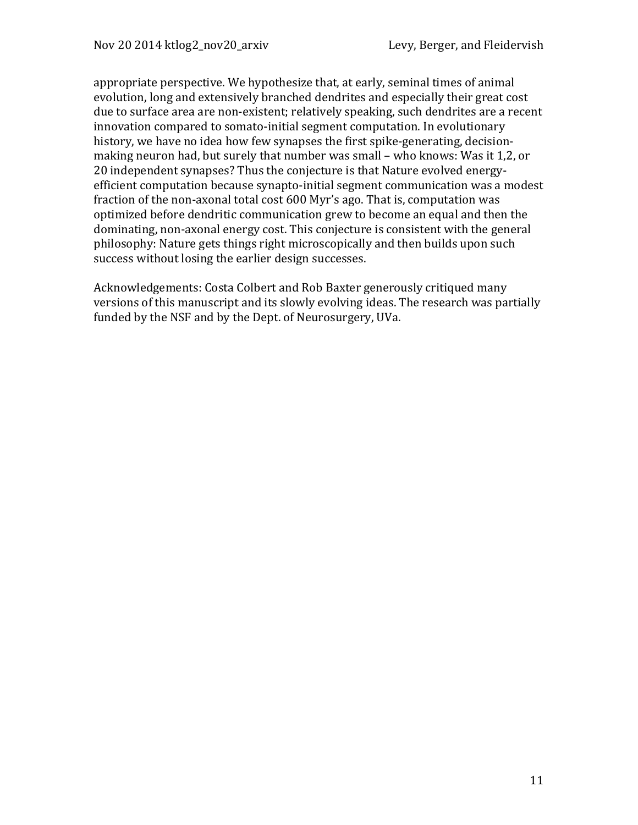appropriate perspective. We hypothesize that, at early, seminal times of animal evolution, long and extensively branched dendrites and especially their great cost due to surface area are non-existent; relatively speaking, such dendrites are a recent innovation compared to somato-initial segment computation. In evolutionary history, we have no idea how few synapses the first spike-generating, decisionmaking neuron had, but surely that number was small – who knows: Was it 1.2, or 20 independent synapses? Thus the conjecture is that Nature evolved energyefficient computation because synapto-initial segment communication was a modest fraction of the non-axonal total cost 600 Myr's ago. That is, computation was optimized before dendritic communication grew to become an equal and then the dominating, non-axonal energy cost. This conjecture is consistent with the general philosophy: Nature gets things right microscopically and then builds upon such success without losing the earlier design successes.

Acknowledgements: Costa Colbert and Rob Baxter generously critiqued many versions of this manuscript and its slowly evolving ideas. The research was partially funded by the NSF and by the Dept. of Neurosurgery, UVa.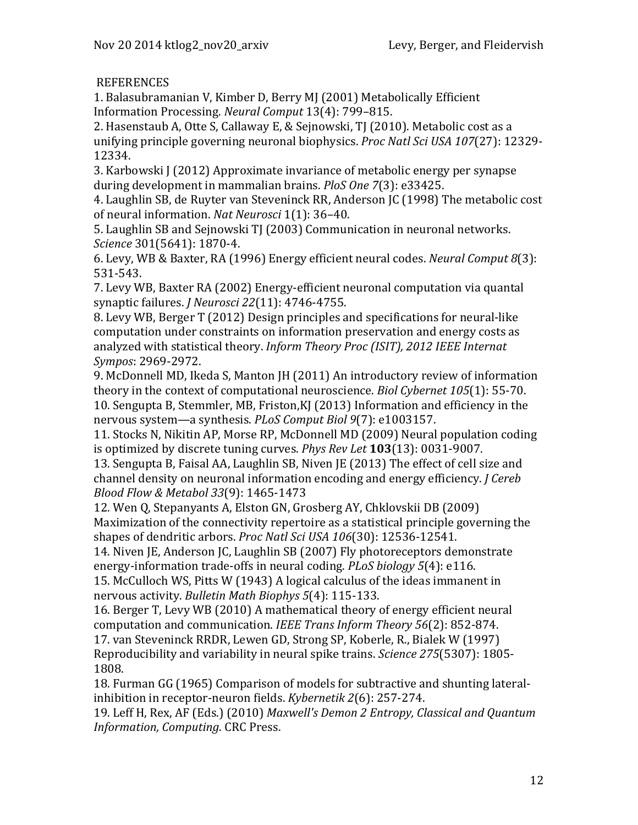## **REFERENCES**

1. Balasubramanian V, Kimber D, Berry MJ (2001) Metabolically Efficient Information Processing. *Neural Comput* 13(4): 799–815.

2. Hasenstaub A, Otte S, Callaway E, & Sejnowski, TJ (2010). Metabolic cost as a unifying principle governing neuronal biophysics. *Proc Natl Sci USA* 107(27): 12329-12334. 

3. Karbowski J (2012) Approximate invariance of metabolic energy per synapse during development in mammalian brains. *PloS One* 7(3): e33425.

4. Laughlin SB, de Ruyter van Steveninck RR, Anderson JC (1998) The metabolic cost of neural information. *Nat Neurosci* 1(1): 36–40.

5. Laughlin SB and Sejnowski TJ (2003) Communication in neuronal networks. *Science* 301(5641): 1870-4.

6. Levy, WB & Baxter, RA (1996) Energy efficient neural codes. *Neural Comput 8*(3): 531-543.

7. Levy WB, Baxter RA (2002) Energy-efficient neuronal computation via quantal synaptic failures. *J Neurosci 22*(11): 4746-4755.

8. Levy WB, Berger T (2012) Design principles and specifications for neural-like computation under constraints on information preservation and energy costs as analyzed with statistical theory. *Inform Theory Proc (ISIT), 2012 IEEE Internat Sympos*: 2969-2972.

9. McDonnell MD, Ikeda S, Manton JH (2011) An introductory review of information theory in the context of computational neuroscience. *Biol Cybernet* 105(1): 55-70. 10. Sengupta B, Stemmler, MB, Friston, KJ (2013) Information and efficiency in the nervous system—a synthesis. *PLoS Comput Biol* 9(7): e1003157.

11. Stocks N, Nikitin AP, Morse RP, McDonnell MD (2009) Neural population coding is optimized by discrete tuning curves. *Phys Rev Let* **103**(13): 0031-9007.

13. Sengupta B, Faisal AA, Laughlin SB, Niven JE (2013) The effect of cell size and channel density on neuronal information encoding and energy efficiency. *J Cereb Blood Flow & Metabol 33*(9): 1465-1473

12. Wen Q, Stepanyants A, Elston GN, Grosberg AY, Chklovskii DB (2009) Maximization of the connectivity repertoire as a statistical principle governing the shapes of dendritic arbors. Proc Natl Sci USA 106(30): 12536-12541.

14. Niven JE, Anderson JC, Laughlin SB (2007) Fly photoreceptors demonstrate energy-information trade-offs in neural coding. *PLoS biology* 5(4): e116.

15. McCulloch WS, Pitts W (1943) A logical calculus of the ideas immanent in nervous activity. *Bulletin Math Biophys 5*(4): 115-133.

16. Berger T, Levy WB (2010) A mathematical theory of energy efficient neural computation and communication. *IEEE Trans Inform Theory* 56(2): 852-874. 17. van Steveninck RRDR, Lewen GD, Strong SP, Koberle, R., Bialek W (1997) Reproducibility and variability in neural spike trains. *Science* 275(5307): 1805-1808.

18. Furman GG (1965) Comparison of models for subtractive and shunting lateralinhibition in receptor-neuron fields. *Kybernetik* 2(6): 257-274.

19. Leff H, Rex, AF (Eds.) (2010) *Maxwell's Demon 2 Entropy, Classical and Quantum Information, Computing. CRC Press.*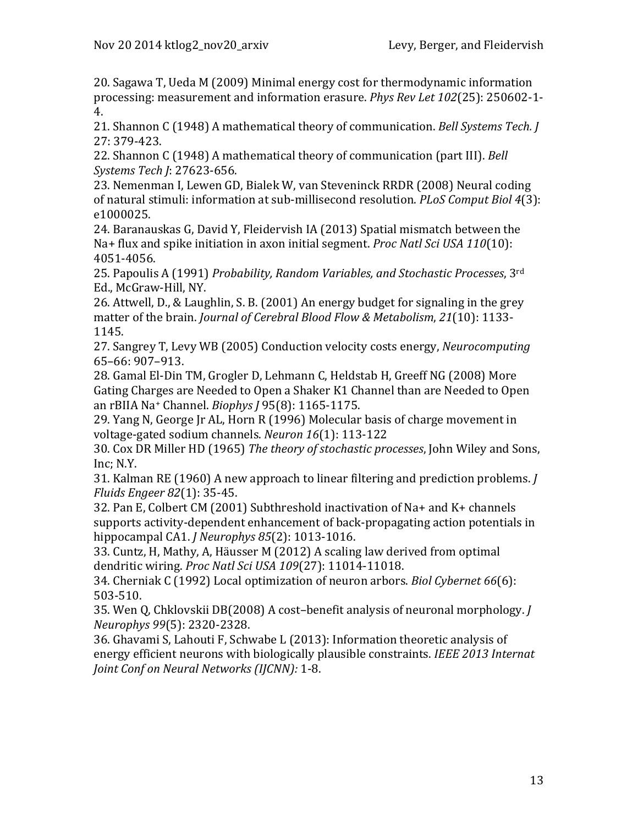20. Sagawa T, Ueda M (2009) Minimal energy cost for thermodynamic information processing: measurement and information erasure. *Phys Rev Let* 102(25): 250602-1-4. 

21. Shannon C (1948) A mathematical theory of communication. *Bell Systems Tech. I* 27: 379-423.

22. Shannon C (1948) A mathematical theory of communication (part III). *Bell Systems Tech J*: 27623-656.

23. Nemenman I, Lewen GD, Bialek W, van Steveninck RRDR (2008) Neural coding of natural stimuli: information at sub-millisecond resolution. *PLoS Comput Biol 4*(3): e1000025.

24. Baranauskas G, David Y, Fleidervish IA (2013) Spatial mismatch between the Na+ flux and spike initiation in axon initial segment. *Proc Natl Sci USA 110*(10): 4051-4056.

25. Papoulis A (1991) *Probability, Random Variables, and Stochastic Processes*, 3<sup>rd</sup> Ed., McGraw-Hill, NY.

26. Attwell, D., & Laughlin, S. B. (2001) An energy budget for signaling in the grey matter of the brain. *Journal of Cerebral Blood Flow & Metabolism*, 21(10): 1133-1145.

27. Sangrey T, Levy WB (2005) Conduction velocity costs energy, *Neurocomputing* 65–66: 907–913.

28. Gamal El-Din TM, Grogler D, Lehmann C, Heldstab H, Greeff NG (2008) More Gating Charges are Needed to Open a Shaker K1 Channel than are Needed to Open an rBIIA Na<sup>+</sup> Channel. *Biophys [*95(8): 1165-1175.

29. Yang N, George Jr AL, Horn R (1996) Molecular basis of charge movement in voltage-gated sodium channels. *Neuron 16*(1): 113-122

30. Cox DR Miller HD (1965) *The theory of stochastic processes*, John Wiley and Sons, Inc; N.Y.

31. Kalman RE (1960) A new approach to linear filtering and prediction problems. *J Fluids Engeer 82*(1): 35-45.

32. Pan E, Colbert CM (2001) Subthreshold inactivation of Na+ and K+ channels supports activity-dependent enhancement of back-propagating action potentials in hippocampal CA1. *J Neurophys 85*(2): 1013-1016.

33. Cuntz, H, Mathy, A, Häusser M (2012) A scaling law derived from optimal dendritic wiring. *Proc Natl Sci USA 109*(27): 11014-11018.

34. Cherniak C (1992) Local optimization of neuron arbors. *Biol Cybernet* 66(6): 503-510.

35. Wen Q, Chklovskii DB(2008) A cost-benefit analysis of neuronal morphology. *J Neurophys 99*(5): 2320-2328.

36. Ghavami S, Lahouti F, Schwabe L (2013): Information theoretic analysis of energy efficient neurons with biologically plausible constraints. *IEEE 2013 Internat Joint Conf on Neural Networks (IJCNN):* 1-8.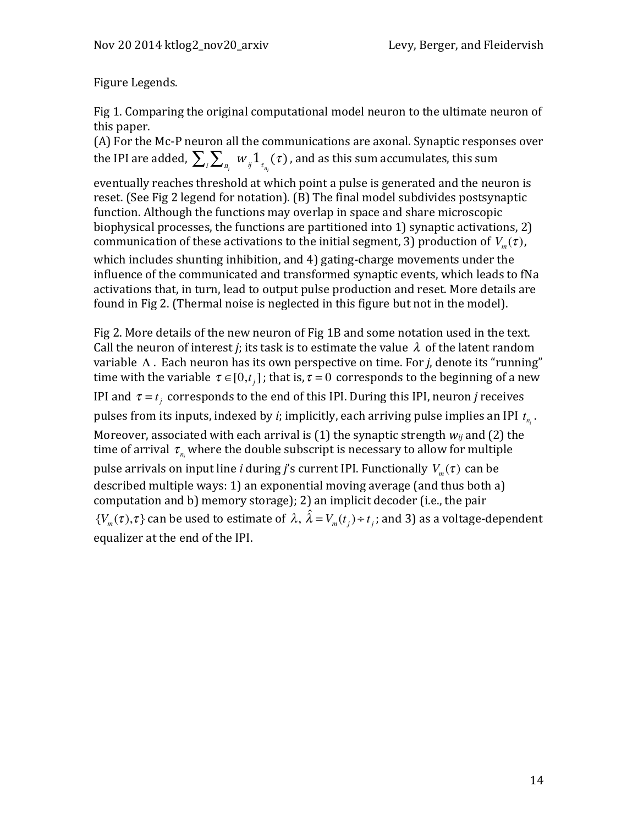Figure Legends.

Fig 1. Comparing the original computational model neuron to the ultimate neuron of this paper.

(A) For the Mc-P neuron all the communications are axonal. Synaptic responses over the IPI are added,  $\sum_i\sum_{n_i}\;w_{_{ij}}1_{\tau_{_{n_i}}}(\tau)$  , and as this sum accumulates, this sum

eventually reaches threshold at which point a pulse is generated and the neuron is reset. (See Fig 2 legend for notation). (B) The final model subdivides postsynaptic function. Although the functions may overlap in space and share microscopic biophysical processes, the functions are partitioned into 1) synaptic activations, 2) communication of these activations to the initial segment, 3) production of  $V_m(\tau)$ ,

which includes shunting inhibition, and  $4$ ) gating-charge movements under the influence of the communicated and transformed synaptic events, which leads to fNa activations that, in turn, lead to output pulse production and reset. More details are found in Fig 2. (Thermal noise is neglected in this figure but not in the model).

Fig 2. More details of the new neuron of Fig 1B and some notation used in the text. Call the neuron of interest *j*; its task is to estimate the value  $\lambda$  of the latent random variable Λ. Each neuron has its own perspective on time. For *j*, denote its "running" time with the variable  $\tau \in [0,t_i]$ ; that is,  $\tau = 0$  corresponds to the beginning of a new IPI and  $\tau = t_j$  corresponds to the end of this IPI. During this IPI, neuron *j* receives pulses from its inputs, indexed by *i*; implicitly, each arriving pulse implies an IPI  $t_{n_i}$ . Moreover, associated with each arrival is  $(1)$  the synaptic strength  $w_{ij}$  and  $(2)$  the time of arrival  $\tau_{_{n_i}}$  where the double subscript is necessary to allow for multiple pulse arrivals on input line *i* during *j*'s current IPI. Functionally  $V_m(\tau)$  can be described multiple ways: 1) an exponential moving average (and thus both a) computation and b) memory storage); 2) an implicit decoder (i.e., the pair  $\{V_m(\tau), \tau\}$  can be used to estimate of  $\lambda$ ,  $\hat{\lambda} = V_m(t_j) + t_j$ ; and 3) as a voltage-dependent equalizer at the end of the IPI.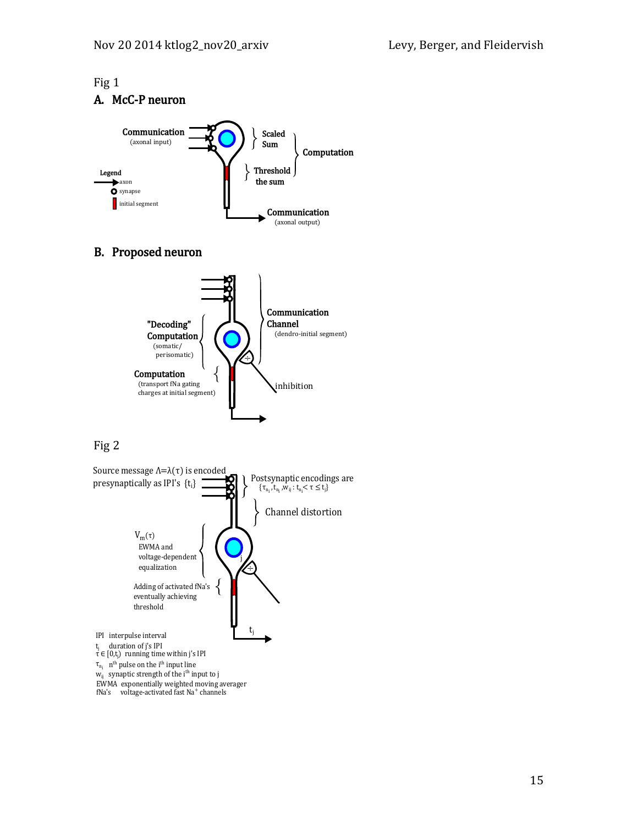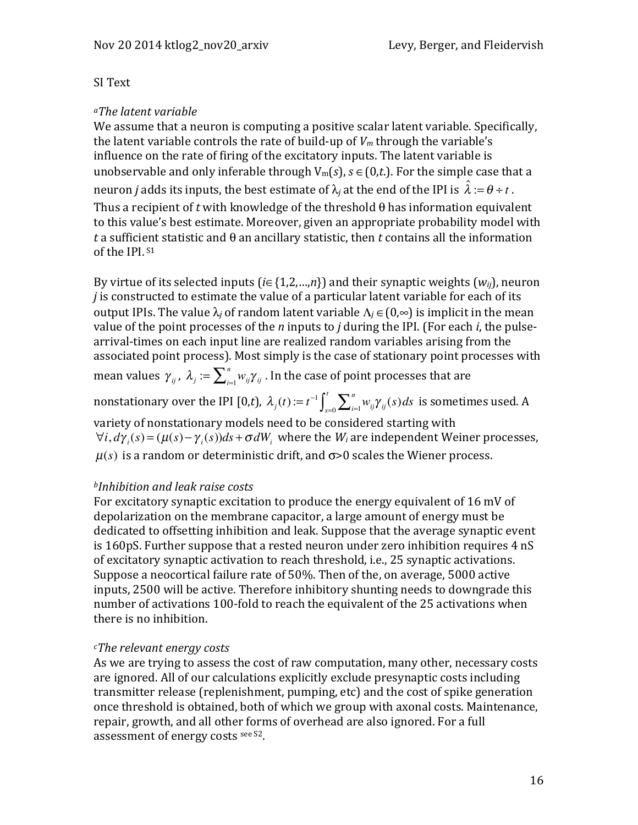#### SI Text

#### *aThe latent variable*

We assume that a neuron is computing a positive scalar latent variable. Specifically, the latent variable controls the rate of build-up of  $V_m$  through the variable's influence on the rate of firing of the excitatory inputs. The latent variable is unobservable and only inferable through  $V_m(s)$ ,  $s \in (0,t)$ . For the simple case that a neuron  $j$  adds its inputs, the best estimate of  $\lambda_j$  at the end of the IPI is  $\hat{\lambda} := \theta \div t$  . Thus a recipient of *t* with knowledge of the threshold  $\theta$  has information equivalent to this value's best estimate. Moreover, given an appropriate probability model with  $t$  a sufficient statistic and  $\theta$  an ancillary statistic, then  $t$  contains all the information of the IPI. S1

By virtue of its selected inputs ( $i \in \{1,2,...,n\}$ ) and their synaptic weights ( $w_{ii}$ ), neuron *j* is constructed to estimate the value of a particular latent variable for each of its output IPIs. The value  $\lambda_i$  of random latent variable  $\Lambda_i$  ∈ (0,∞) is implicit in the mean value of the point processes of the *n* inputs to *j* during the IPI. (For each *i*, the pulsearrival-times on each input line are realized random variables arising from the associated point process). Most simply is the case of stationary point processes with mean values  $\gamma_{ij}$  ,  $\lambda_j := \sum_{i=1}^n w_{ij}\gamma_{ij}$  . In the case of point processes that are nonstationary over the IPI [0,*t*),  $\lambda_j(t) := t^{-1} \int_{s=0}^t \sum_{i=1}^n w_{ij} \gamma_{ij}(s) ds$  is sometimes used. A variety of nonstationary models need to be considered starting with  $\forall i, d\gamma_i(s) = (\mu(s) - \gamma_i(s))ds + \sigma dW_i$ , where the  $W_i$  are independent Weiner processes,

 $\mu(s)$  is a random or deterministic drift, and  $\sigma$ >0 scales the Wiener process.

#### *bInhibition and leak raise costs*

For excitatory synaptic excitation to produce the energy equivalent of  $16 \text{ mV}$  of depolarization on the membrane capacitor, a large amount of energy must be dedicated to offsetting inhibition and leak. Suppose that the average synaptic event is  $160pS$ . Further suppose that a rested neuron under zero inhibition requires  $4nS$ of excitatory synaptic activation to reach threshold, i.e., 25 synaptic activations. Suppose a neocortical failure rate of 50%. Then of the, on average, 5000 active inputs, 2500 will be active. Therefore inhibitory shunting needs to downgrade this number of activations 100-fold to reach the equivalent of the 25 activations when there is no inhibition.

#### *cThe relevant energy costs*

As we are trying to assess the cost of raw computation, many other, necessary costs are ignored. All of our calculations explicitly exclude presynaptic costs including transmitter release (replenishment, pumping, etc) and the cost of spike generation once threshold is obtained, both of which we group with axonal costs. Maintenance, repair, growth, and all other forms of overhead are also ignored. For a full assessment of energy costs see S2.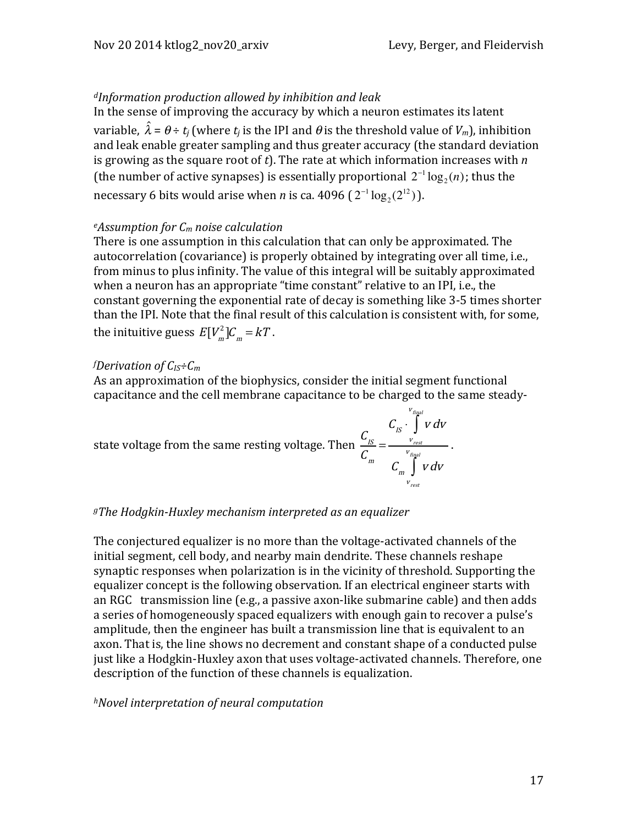. 

# *dInformation production allowed by inhibition and leak*

In the sense of improving the accuracy by which a neuron estimates its latent variable,  $\hat{\lambda}$  =  $\theta$  ÷  $t_j$  (where  $t_j$  is the IPI and  $\theta$  is the threshold value of  $V_m$ ), inhibition and leak enable greater sampling and thus greater accuracy (the standard deviation is growing as the square root of  $t$ ). The rate at which information increases with  $n$ (the number of active synapses) is essentially proportional  $2^{-1} \log_2(n)$ ; thus the necessary 6 bits would arise when *n* is ca. 4096  $(2^{-1} \log_2 (2^{12}))$ .

## *eAssumption for Cm noise calculation*

There is one assumption in this calculation that can only be approximated. The autocorrelation (covariance) is properly obtained by integrating over all time, i.e., from minus to plus infinity. The value of this integral will be suitably approximated when a neuron has an appropriate "time constant" relative to an IPI, i.e., the constant governing the exponential rate of decay is something like 3-5 times shorter than the IPI. Note that the final result of this calculation is consistent with, for some, the inituitive guess  $E[V_m^2]C_m = kT$ .

## *f Derivation of CIS÷Cm*

As an approximation of the biophysics, consider the initial segment functional capacitance and the cell membrane capacitance to be charged to the same steady-

state voltage from the same resting voltage. Then 
$$
\frac{C_{IS}}{C_m} = \frac{C_{IS} \cdot \int_{V_{rest}}^{V_{final}} v dv}{C_m \int_{V_{rest}}^{V_{final}} v dv}
$$

#### *gThe Hodgkin-Huxley mechanism interpreted as an equalizer*

The conjectured equalizer is no more than the voltage-activated channels of the initial segment, cell body, and nearby main dendrite. These channels reshape synaptic responses when polarization is in the vicinity of threshold. Supporting the equalizer concept is the following observation. If an electrical engineer starts with an RGC transmission line (e.g., a passive axon-like submarine cable) and then adds a series of homogeneously spaced equalizers with enough gain to recover a pulse's amplitude, then the engineer has built a transmission line that is equivalent to an axon. That is, the line shows no decrement and constant shape of a conducted pulse just like a Hodgkin-Huxley axon that uses voltage-activated channels. Therefore, one description of the function of these channels is equalization.

#### *hNovel interpretation of neural computation*